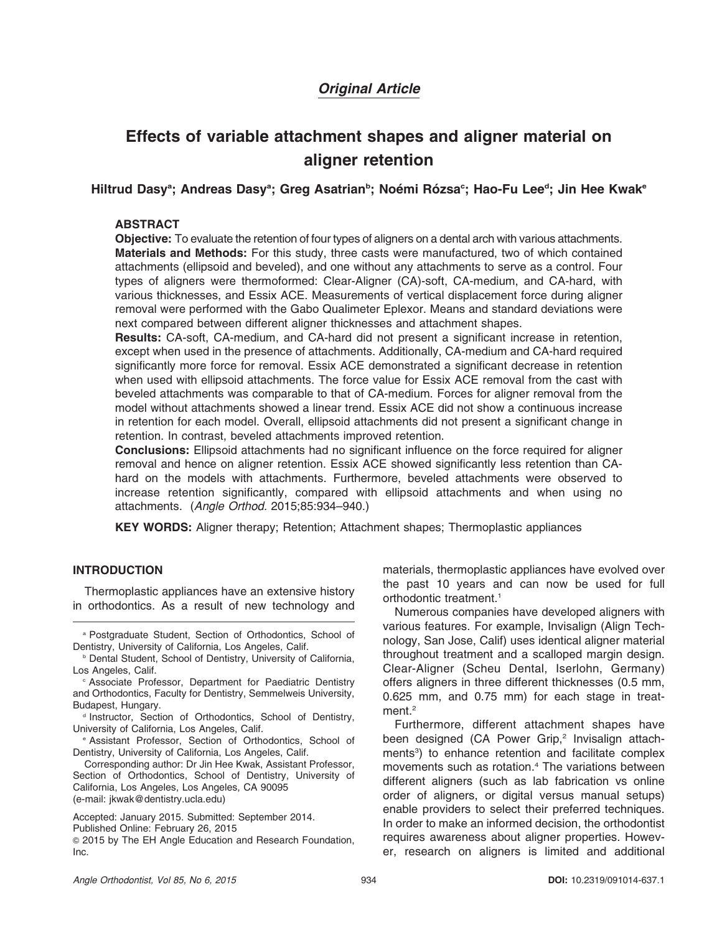# Original Article

# Effects of variable attachment shapes and aligner material on aligner retention

Hiltrud Dasyª; Andreas Dasyª; Greg Asatrian<sup>ь</sup>; Noémi Rózsa<sup>c</sup>; Hao-Fu Leeª; Jin Hee Kwakª

# **ABSTRACT**

Objective: To evaluate the retention of four types of aligners on a dental arch with various attachments. Materials and Methods: For this study, three casts were manufactured, two of which contained attachments (ellipsoid and beveled), and one without any attachments to serve as a control. Four types of aligners were thermoformed: Clear-Aligner (CA)-soft, CA-medium, and CA-hard, with various thicknesses, and Essix ACE. Measurements of vertical displacement force during aligner removal were performed with the Gabo Qualimeter Eplexor. Means and standard deviations were next compared between different aligner thicknesses and attachment shapes.

Results: CA-soft, CA-medium, and CA-hard did not present a significant increase in retention, except when used in the presence of attachments. Additionally, CA-medium and CA-hard required significantly more force for removal. Essix ACE demonstrated a significant decrease in retention when used with ellipsoid attachments. The force value for Essix ACE removal from the cast with beveled attachments was comparable to that of CA-medium. Forces for aligner removal from the model without attachments showed a linear trend. Essix ACE did not show a continuous increase in retention for each model. Overall, ellipsoid attachments did not present a significant change in retention. In contrast, beveled attachments improved retention.

Conclusions: Ellipsoid attachments had no significant influence on the force required for aligner removal and hence on aligner retention. Essix ACE showed significantly less retention than CAhard on the models with attachments. Furthermore, beveled attachments were observed to increase retention significantly, compared with ellipsoid attachments and when using no attachments. (Angle Orthod. 2015;85:934–940.)

KEY WORDS: Aligner therapy; Retention; Attachment shapes; Thermoplastic appliances

# **INTRODUCTION**

Thermoplastic appliances have an extensive history in orthodontics. As a result of new technology and

Corresponding author: Dr Jin Hee Kwak, Assistant Professor, Section of Orthodontics, School of Dentistry, University of California, Los Angeles, Los Angeles, CA 90095 (e-mail: jkwak@dentistry.ucla.edu)

Accepted: January 2015. Submitted: September 2014. Published Online: February 26, 2015

<sup>G</sup> 2015 by The EH Angle Education and Research Foundation, Inc.

materials, thermoplastic appliances have evolved over the past 10 years and can now be used for full orthodontic treatment.<sup>1</sup>

Numerous companies have developed aligners with various features. For example, Invisalign (Align Technology, San Jose, Calif) uses identical aligner material throughout treatment and a scalloped margin design. Clear-Aligner (Scheu Dental, Iserlohn, Germany) offers aligners in three different thicknesses (0.5 mm, 0.625 mm, and 0.75 mm) for each stage in treatment.<sup>2</sup>

Furthermore, different attachment shapes have been designed (CA Power Grip,<sup>2</sup> Invisalign attachments<sup>3</sup>) to enhance retention and facilitate complex movements such as rotation.4 The variations between different aligners (such as lab fabrication vs online order of aligners, or digital versus manual setups) enable providers to select their preferred techniques. In order to make an informed decision, the orthodontist requires awareness about aligner properties. However, research on aligners is limited and additional

<sup>a</sup> Postgraduate Student, Section of Orthodontics, School of Dentistry, University of California, Los Angeles, Calif.

**b Dental Student, School of Dentistry, University of California,** Los Angeles, Calif.

<sup>c</sup> Associate Professor, Department for Paediatric Dentistry and Orthodontics, Faculty for Dentistry, Semmelweis University, Budapest, Hungary.

<sup>d</sup> Instructor, Section of Orthodontics, School of Dentistry, University of California, Los Angeles, Calif.

<sup>e</sup> Assistant Professor, Section of Orthodontics, School of Dentistry, University of California, Los Angeles, Calif.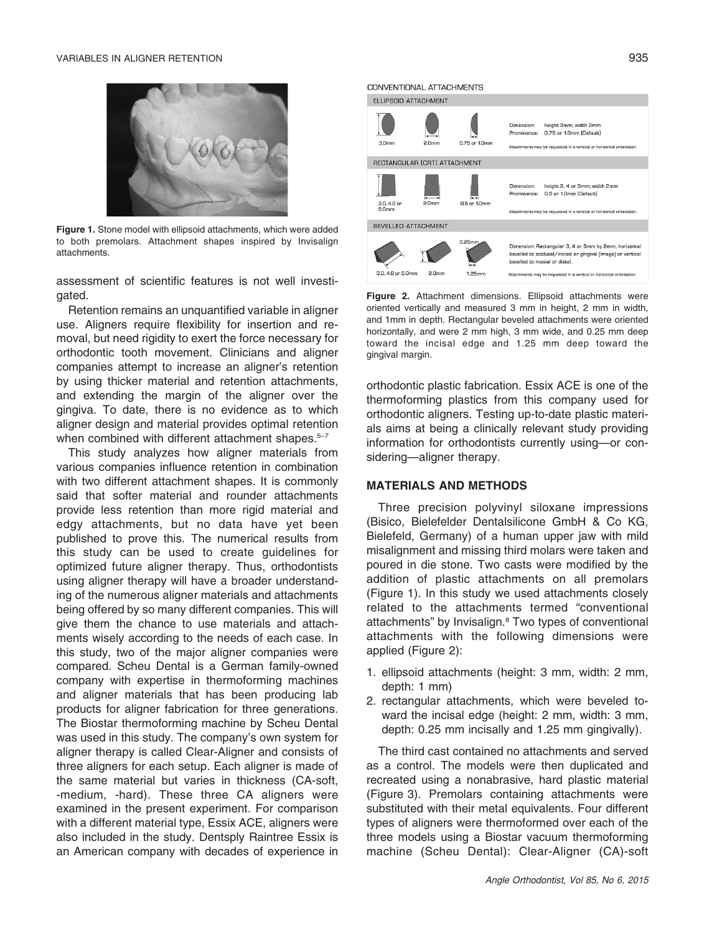#### VARIABLES IN ALIGNER RETENTION 935



Figure 1. Stone model with ellipsoid attachments, which were added to both premolars. Attachment shapes inspired by Invisalign attachments.

assessment of scientific features is not well investigated.

Retention remains an unquantified variable in aligner use. Aligners require flexibility for insertion and removal, but need rigidity to exert the force necessary for orthodontic tooth movement. Clinicians and aligner companies attempt to increase an aligner's retention by using thicker material and retention attachments, and extending the margin of the aligner over the gingiva. To date, there is no evidence as to which aligner design and material provides optimal retention when combined with different attachment shapes.<sup>5-7</sup>

This study analyzes how aligner materials from various companies influence retention in combination with two different attachment shapes. It is commonly said that softer material and rounder attachments provide less retention than more rigid material and edgy attachments, but no data have yet been published to prove this. The numerical results from this study can be used to create guidelines for optimized future aligner therapy. Thus, orthodontists using aligner therapy will have a broader understanding of the numerous aligner materials and attachments being offered by so many different companies. This will give them the chance to use materials and attachments wisely according to the needs of each case. In this study, two of the major aligner companies were compared. Scheu Dental is a German family-owned company with expertise in thermoforming machines and aligner materials that has been producing lab products for aligner fabrication for three generations. The Biostar thermoforming machine by Scheu Dental was used in this study. The company's own system for aligner therapy is called Clear-Aligner and consists of three aligners for each setup. Each aligner is made of the same material but varies in thickness (CA-soft, -medium, -hard). These three CA aligners were examined in the present experiment. For comparison with a different material type, Essix ACE, aligners were also included in the study. Dentsply Raintree Essix is an American company with decades of experience in

#### CONVENTIONAL ATTACHMENTS ELLIPSOID ATTACHMENT height 3mm; width 2mm Dimension: Prominence: 0.75 or 1.0mm (Default)  $3.0<sub>mn</sub>$  $2.0<sub>mr</sub>$ 0.75 or 1.0mm .<br>nents may be requested in a vertical or horizontal o RECTANGULAR (CRT) ATTACHMENT height 3, 4 or 5mm; width 2mm Dimension: Prominence: 0.5 or 1.0mm (Default) 3.0, 4.0 or<br>5.0mm  $2.0<sub>mm</sub>$ 0.5 or 1.0mm ents may be requ .<br>Internal or the vertical or horizontal orie BEVELLED ATTACHMENT  $0.25<sub>m</sub>$ Dimension: Rectangular 3, 4 or 5mm by 2mm, horizonta  $bevalled to \textit{occlusal/incisal or} \textit{gingival} \textit{(image)} \textit{or vertical}$ bevelled to mesial or distal. 3.0, 4.0 or 5.0mm  $2.0<sub>mn</sub>$  $1.25$ mn ents may be reque sted in a vertical or horizontal orie

Figure 2. Attachment dimensions. Ellipsoid attachments were oriented vertically and measured 3 mm in height, 2 mm in width, and 1mm in depth. Rectangular beveled attachments were oriented horizontally, and were 2 mm high, 3 mm wide, and 0.25 mm deep toward the incisal edge and 1.25 mm deep toward the gingival margin.

orthodontic plastic fabrication. Essix ACE is one of the thermoforming plastics from this company used for orthodontic aligners. Testing up-to-date plastic materials aims at being a clinically relevant study providing information for orthodontists currently using—or considering—aligner therapy.

## MATERIALS AND METHODS

Three precision polyvinyl siloxane impressions (Bisico, Bielefelder Dentalsilicone GmbH & Co KG, Bielefeld, Germany) of a human upper jaw with mild misalignment and missing third molars were taken and poured in die stone. Two casts were modified by the addition of plastic attachments on all premolars (Figure 1). In this study we used attachments closely related to the attachments termed "conventional attachments" by Invisalign.8 Two types of conventional attachments with the following dimensions were applied (Figure 2):

- 1. ellipsoid attachments (height: 3 mm, width: 2 mm, depth: 1 mm)
- 2. rectangular attachments, which were beveled toward the incisal edge (height: 2 mm, width: 3 mm, depth: 0.25 mm incisally and 1.25 mm gingivally).

The third cast contained no attachments and served as a control. The models were then duplicated and recreated using a nonabrasive, hard plastic material (Figure 3). Premolars containing attachments were substituted with their metal equivalents. Four different types of aligners were thermoformed over each of the three models using a Biostar vacuum thermoforming machine (Scheu Dental): Clear-Aligner (CA)-soft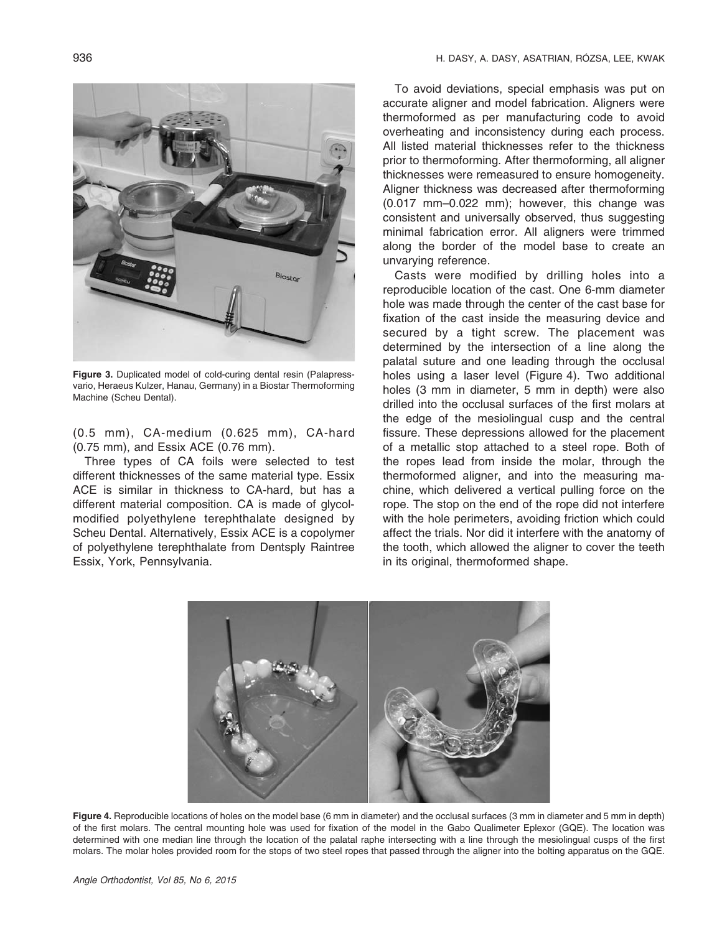

Figure 3. Duplicated model of cold-curing dental resin (Palapressvario, Heraeus Kulzer, Hanau, Germany) in a Biostar Thermoforming Machine (Scheu Dental).

(0.5 mm), CA-medium (0.625 mm), CA-hard (0.75 mm), and Essix ACE (0.76 mm).

Three types of CA foils were selected to test different thicknesses of the same material type. Essix ACE is similar in thickness to CA-hard, but has a different material composition. CA is made of glycolmodified polyethylene terephthalate designed by Scheu Dental. Alternatively, Essix ACE is a copolymer of polyethylene terephthalate from Dentsply Raintree Essix, York, Pennsylvania.

To avoid deviations, special emphasis was put on accurate aligner and model fabrication. Aligners were thermoformed as per manufacturing code to avoid overheating and inconsistency during each process. All listed material thicknesses refer to the thickness prior to thermoforming. After thermoforming, all aligner thicknesses were remeasured to ensure homogeneity. Aligner thickness was decreased after thermoforming (0.017 mm–0.022 mm); however, this change was consistent and universally observed, thus suggesting minimal fabrication error. All aligners were trimmed along the border of the model base to create an unvarying reference.

Casts were modified by drilling holes into a reproducible location of the cast. One 6-mm diameter hole was made through the center of the cast base for fixation of the cast inside the measuring device and secured by a tight screw. The placement was determined by the intersection of a line along the palatal suture and one leading through the occlusal holes using a laser level (Figure 4). Two additional holes (3 mm in diameter, 5 mm in depth) were also drilled into the occlusal surfaces of the first molars at the edge of the mesiolingual cusp and the central fissure. These depressions allowed for the placement of a metallic stop attached to a steel rope. Both of the ropes lead from inside the molar, through the thermoformed aligner, and into the measuring machine, which delivered a vertical pulling force on the rope. The stop on the end of the rope did not interfere with the hole perimeters, avoiding friction which could affect the trials. Nor did it interfere with the anatomy of the tooth, which allowed the aligner to cover the teeth in its original, thermoformed shape.



Figure 4. Reproducible locations of holes on the model base (6 mm in diameter) and the occlusal surfaces (3 mm in diameter and 5 mm in depth) of the first molars. The central mounting hole was used for fixation of the model in the Gabo Qualimeter Eplexor (GQE). The location was determined with one median line through the location of the palatal raphe intersecting with a line through the mesiolingual cusps of the first molars. The molar holes provided room for the stops of two steel ropes that passed through the aligner into the bolting apparatus on the GQE.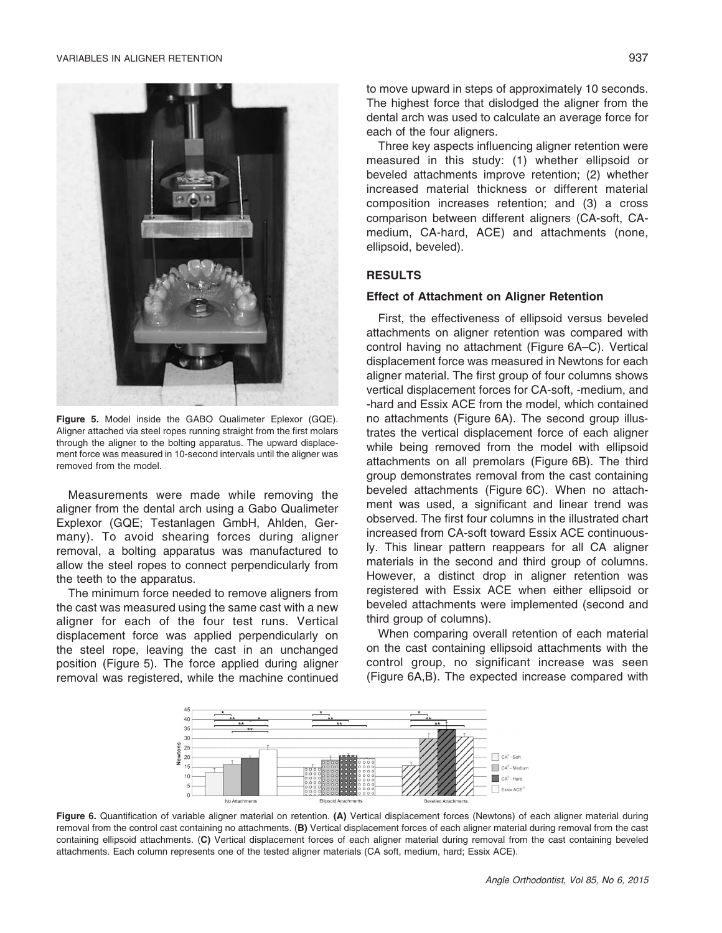

Figure 5. Model inside the GABO Qualimeter Eplexor (GQE). Aligner attached via steel ropes running straight from the first molars through the aligner to the bolting apparatus. The upward displacement force was measured in 10-second intervals until the aligner was removed from the model.

Measurements were made while removing the aligner from the dental arch using a Gabo Qualimeter Explexor (GQE; Testanlagen GmbH, Ahlden, Germany). To avoid shearing forces during aligner removal, a bolting apparatus was manufactured to allow the steel ropes to connect perpendicularly from the teeth to the apparatus.

The minimum force needed to remove aligners from the cast was measured using the same cast with a new aligner for each of the four test runs. Vertical displacement force was applied perpendicularly on the steel rope, leaving the cast in an unchanged position (Figure 5). The force applied during aligner removal was registered, while the machine continued to move upward in steps of approximately 10 seconds. The highest force that dislodged the aligner from the dental arch was used to calculate an average force for each of the four aligners.

Three key aspects influencing aligner retention were measured in this study: (1) whether ellipsoid or beveled attachments improve retention; (2) whether increased material thickness or different material composition increases retention; and (3) a cross comparison between different aligners (CA-soft, CAmedium, CA-hard, ACE) and attachments (none, ellipsoid, beveled).

# RESULTS

### Effect of Attachment on Aligner Retention

First, the effectiveness of ellipsoid versus beveled attachments on aligner retention was compared with control having no attachment (Figure 6A–C). Vertical displacement force was measured in Newtons for each aligner material. The first group of four columns shows vertical displacement forces for CA-soft, -medium, and -hard and Essix ACE from the model, which contained no attachments (Figure 6A). The second group illustrates the vertical displacement force of each aligner while being removed from the model with ellipsoid attachments on all premolars (Figure 6B). The third group demonstrates removal from the cast containing beveled attachments (Figure 6C). When no attachment was used, a significant and linear trend was observed. The first four columns in the illustrated chart increased from CA-soft toward Essix ACE continuously. This linear pattern reappears for all CA aligner materials in the second and third group of columns. However, a distinct drop in aligner retention was registered with Essix ACE when either ellipsoid or beveled attachments were implemented (second and third group of columns).

When comparing overall retention of each material on the cast containing ellipsoid attachments with the control group, no significant increase was seen (Figure 6A,B). The expected increase compared with



Figure 6. Quantification of variable aligner material on retention. (A) Vertical displacement forces (Newtons) of each aligner material during removal from the control cast containing no attachments. (B) Vertical displacement forces of each aligner material during removal from the cast containing ellipsoid attachments. (C) Vertical displacement forces of each aligner material during removal from the cast containing beveled attachments. Each column represents one of the tested aligner materials (CA soft, medium, hard; Essix ACE).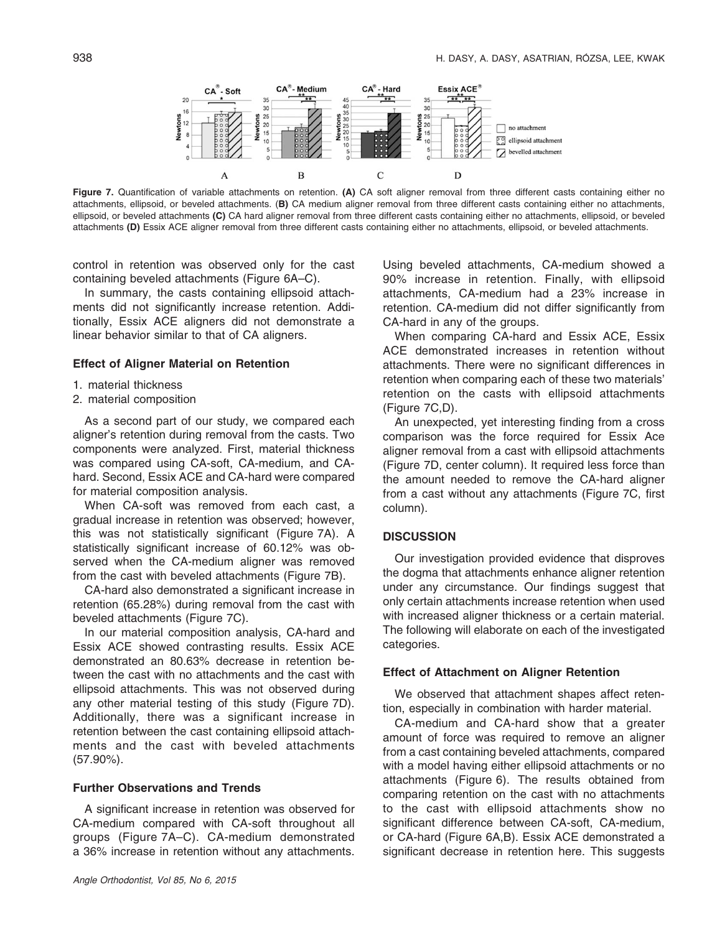

Figure 7. Quantification of variable attachments on retention. (A) CA soft aligner removal from three different casts containing either no attachments, ellipsoid, or beveled attachments. (B) CA medium aligner removal from three different casts containing either no attachments, ellipsoid, or beveled attachments (C) CA hard aligner removal from three different casts containing either no attachments, ellipsoid, or beveled attachments (D) Essix ACE aligner removal from three different casts containing either no attachments, ellipsoid, or beveled attachments.

control in retention was observed only for the cast containing beveled attachments (Figure 6A–C).

In summary, the casts containing ellipsoid attachments did not significantly increase retention. Additionally, Essix ACE aligners did not demonstrate a linear behavior similar to that of CA aligners.

#### Effect of Aligner Material on Retention

- 1. material thickness
- 2. material composition

As a second part of our study, we compared each aligner's retention during removal from the casts. Two components were analyzed. First, material thickness was compared using CA-soft, CA-medium, and CAhard. Second, Essix ACE and CA-hard were compared for material composition analysis.

When CA-soft was removed from each cast, a gradual increase in retention was observed; however, this was not statistically significant (Figure 7A). A statistically significant increase of 60.12% was observed when the CA-medium aligner was removed from the cast with beveled attachments (Figure 7B).

CA-hard also demonstrated a significant increase in retention (65.28%) during removal from the cast with beveled attachments (Figure 7C).

In our material composition analysis, CA-hard and Essix ACE showed contrasting results. Essix ACE demonstrated an 80.63% decrease in retention between the cast with no attachments and the cast with ellipsoid attachments. This was not observed during any other material testing of this study (Figure 7D). Additionally, there was a significant increase in retention between the cast containing ellipsoid attachments and the cast with beveled attachments (57.90%).

#### Further Observations and Trends

A significant increase in retention was observed for CA-medium compared with CA-soft throughout all groups (Figure 7A–C). CA-medium demonstrated a 36% increase in retention without any attachments.

Using beveled attachments, CA-medium showed a 90% increase in retention. Finally, with ellipsoid attachments, CA-medium had a 23% increase in retention. CA-medium did not differ significantly from CA-hard in any of the groups.

When comparing CA-hard and Essix ACE, Essix ACE demonstrated increases in retention without attachments. There were no significant differences in retention when comparing each of these two materials' retention on the casts with ellipsoid attachments (Figure 7C,D).

An unexpected, yet interesting finding from a cross comparison was the force required for Essix Ace aligner removal from a cast with ellipsoid attachments (Figure 7D, center column). It required less force than the amount needed to remove the CA-hard aligner from a cast without any attachments (Figure 7C, first column).

#### **DISCUSSION**

Our investigation provided evidence that disproves the dogma that attachments enhance aligner retention under any circumstance. Our findings suggest that only certain attachments increase retention when used with increased aligner thickness or a certain material. The following will elaborate on each of the investigated categories.

### Effect of Attachment on Aligner Retention

We observed that attachment shapes affect retention, especially in combination with harder material.

CA-medium and CA-hard show that a greater amount of force was required to remove an aligner from a cast containing beveled attachments, compared with a model having either ellipsoid attachments or no attachments (Figure 6). The results obtained from comparing retention on the cast with no attachments to the cast with ellipsoid attachments show no significant difference between CA-soft, CA-medium, or CA-hard (Figure 6A,B). Essix ACE demonstrated a significant decrease in retention here. This suggests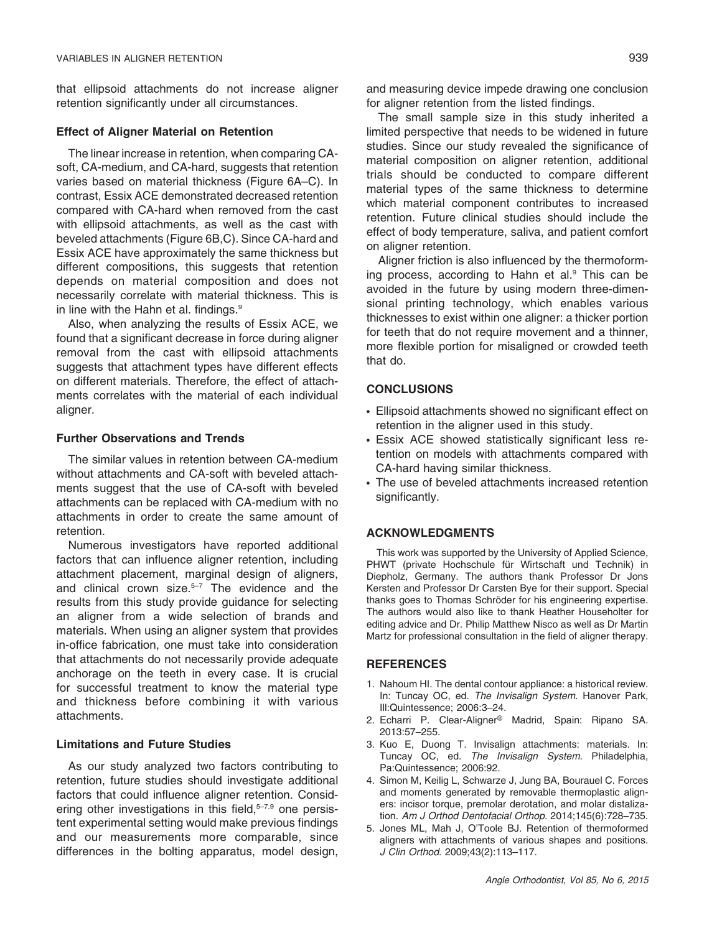that ellipsoid attachments do not increase aligner retention significantly under all circumstances.

#### Effect of Aligner Material on Retention

The linear increase in retention, when comparing CAsoft, CA-medium, and CA-hard, suggests that retention varies based on material thickness (Figure 6A–C). In contrast, Essix ACE demonstrated decreased retention compared with CA-hard when removed from the cast with ellipsoid attachments, as well as the cast with beveled attachments (Figure 6B,C). Since CA-hard and Essix ACE have approximately the same thickness but different compositions, this suggests that retention depends on material composition and does not necessarily correlate with material thickness. This is in line with the Hahn et al. findings.<sup>9</sup>

Also, when analyzing the results of Essix ACE, we found that a significant decrease in force during aligner removal from the cast with ellipsoid attachments suggests that attachment types have different effects on different materials. Therefore, the effect of attachments correlates with the material of each individual aligner.

#### Further Observations and Trends

The similar values in retention between CA-medium without attachments and CA-soft with beveled attachments suggest that the use of CA-soft with beveled attachments can be replaced with CA-medium with no attachments in order to create the same amount of retention.

Numerous investigators have reported additional factors that can influence aligner retention, including attachment placement, marginal design of aligners, and clinical crown size. $5-7$  The evidence and the results from this study provide guidance for selecting an aligner from a wide selection of brands and materials. When using an aligner system that provides in-office fabrication, one must take into consideration that attachments do not necessarily provide adequate anchorage on the teeth in every case. It is crucial for successful treatment to know the material type and thickness before combining it with various attachments.

#### Limitations and Future Studies

As our study analyzed two factors contributing to retention, future studies should investigate additional factors that could influence aligner retention. Considering other investigations in this field,<sup>5-7,9</sup> one persistent experimental setting would make previous findings and our measurements more comparable, since differences in the bolting apparatus, model design, and measuring device impede drawing one conclusion for aligner retention from the listed findings.

The small sample size in this study inherited a limited perspective that needs to be widened in future studies. Since our study revealed the significance of material composition on aligner retention, additional trials should be conducted to compare different material types of the same thickness to determine which material component contributes to increased retention. Future clinical studies should include the effect of body temperature, saliva, and patient comfort on aligner retention.

Aligner friction is also influenced by the thermoforming process, according to Hahn et al. $9$  This can be avoided in the future by using modern three-dimensional printing technology, which enables various thicknesses to exist within one aligner: a thicker portion for teeth that do not require movement and a thinner, more flexible portion for misaligned or crowded teeth that do.

# **CONCLUSIONS**

- Ellipsoid attachments showed no significant effect on retention in the aligner used in this study.
- Essix ACE showed statistically significant less retention on models with attachments compared with CA-hard having similar thickness.
- The use of beveled attachments increased retention significantly.

#### ACKNOWLEDGMENTS

This work was supported by the University of Applied Science, PHWT (private Hochschule für Wirtschaft und Technik) in Diepholz, Germany. The authors thank Professor Dr Jons Kersten and Professor Dr Carsten Bye for their support. Special thanks goes to Thomas Schröder for his engineering expertise. The authors would also like to thank Heather Householter for editing advice and Dr. Philip Matthew Nisco as well as Dr Martin Martz for professional consultation in the field of aligner therapy.

#### **REFERENCES**

- 1. Nahoum HI. The dental contour appliance: a historical review. In: Tuncay OC, ed. The Invisalign System. Hanover Park, Ill:Quintessence; 2006:3–24.
- 2. Echarri P. Clear-Aligner® Madrid, Spain: Ripano SA. 2013:57–255.
- 3. Kuo E, Duong T. Invisalign attachments: materials. In: Tuncay OC, ed. The Invisalign System. Philadelphia, Pa:Quintessence; 2006:92.
- 4. Simon M, Keilig L, Schwarze J, Jung BA, Bourauel C. Forces and moments generated by removable thermoplastic aligners: incisor torque, premolar derotation, and molar distalization. Am J Orthod Dentofacial Orthop. 2014;145(6):728–735.
- 5. Jones ML, Mah J, O'Toole BJ. Retention of thermoformed aligners with attachments of various shapes and positions. J Clin Orthod. 2009;43(2):113–117.